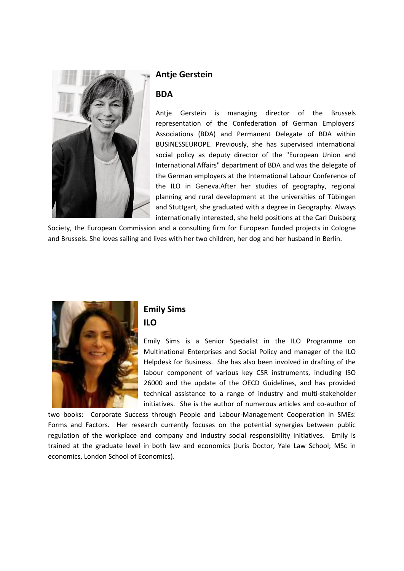

#### **Antje Gerstein**

#### **BDA**

Antje Gerstein is managing director of the Brussels representation of the Confederation of German Employers' Associations (BDA) and Permanent Delegate of BDA within BUSINESSEUROPE. Previously, she has supervised international social policy as deputy director of the "European Union and International Affairs" department of BDA and was the delegate of the German employers at the International Labour Conference of the ILO in Geneva.After her studies of geography, regional planning and rural development at the universities of Tübingen and Stuttgart, she graduated with a degree in Geography. Always internationally interested, she held positions at the Carl Duisberg

Society, the European Commission and a consulting firm for European funded projects in Cologne and Brussels. She loves sailing and lives with her two children, her dog and her husband in Berlin.



# **Emily Sims ILO**

Emily Sims is a Senior Specialist in the ILO Programme on Multinational Enterprises and Social Policy and manager of the ILO Helpdesk for Business. She has also been involved in drafting of the labour component of various key CSR instruments, including ISO 26000 and the update of the OECD Guidelines, and has provided technical assistance to a range of industry and multi-stakeholder initiatives. She is the author of numerous articles and co-author of

two books: Corporate Success through People and Labour-Management Cooperation in SMEs: Forms and Factors. Her research currently focuses on the potential synergies between public regulation of the workplace and company and industry social responsibility initiatives. Emily is trained at the graduate level in both law and economics (Juris Doctor, Yale Law School; MSc in economics, London School of Economics).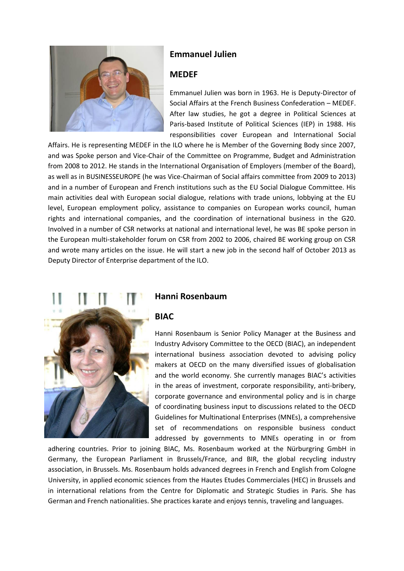

## **Emmanuel Julien**

#### **MEDEF**

Emmanuel Julien was born in 1963. He is Deputy-Director of Social Affairs at the French Business Confederation – MEDEF. After law studies, he got a degree in Political Sciences at Paris-based Institute of Political Sciences (IEP) in 1988. His responsibilities cover European and International Social

Affairs. He is representing MEDEF in the ILO where he is Member of the Governing Body since 2007, and was Spoke person and Vice-Chair of the Committee on Programme, Budget and Administration from 2008 to 2012. He stands in the International Organisation of Employers (member of the Board), as well as in BUSINESSEUROPE (he was Vice-Chairman of Social affairs committee from 2009 to 2013) and in a number of European and French institutions such as the EU Social Dialogue Committee. His main activities deal with European social dialogue, relations with trade unions, lobbying at the EU level, European employment policy, assistance to companies on European works council, human rights and international companies, and the coordination of international business in the G20. Involved in a number of CSR networks at national and international level, he was BE spoke person in the European multi-stakeholder forum on CSR from 2002 to 2006, chaired BE working group on CSR and wrote many articles on the issue. He will start a new job in the second half of October 2013 as Deputy Director of Enterprise department of the ILO.

### **Hanni Rosenbaum**

#### **BIAC**

Hanni Rosenbaum is Senior Policy Manager at the Business and Industry Advisory Committee to the OECD (BIAC), an independent international business association devoted to advising policy makers at OECD on the many diversified issues of globalisation and the world economy. She currently manages BIAC's activities in the areas of investment, corporate responsibility, anti-bribery, corporate governance and environmental policy and is in charge of coordinating business input to discussions related to the OECD Guidelines for Multinational Enterprises (MNEs), a comprehensive set of recommendations on responsible business conduct addressed by governments to MNEs operating in or from

adhering countries. Prior to joining BIAC, Ms. Rosenbaum worked at the Nürburgring GmbH in Germany, the European Parliament in Brussels/France, and BIR, the global recycling industry association, in Brussels. Ms. Rosenbaum holds advanced degrees in French and English from Cologne University, in applied economic sciences from the Hautes Etudes Commerciales (HEC) in Brussels and in international relations from the Centre for Diplomatic and Strategic Studies in Paris. She has German and French nationalities. She practices karate and enjoys tennis, traveling and languages.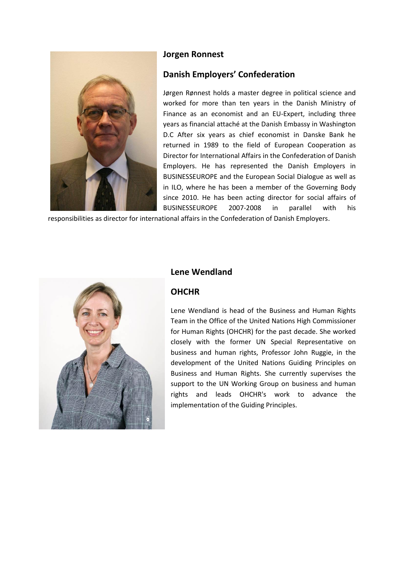

# **Jorgen Ronnest**

# **Danish Employers' Confederation**

Jørgen Rønnest holds a master degree in political science and worked for more than ten years in the Danish Ministry of Finance as an economist and an EU-Expert, including three years as financial attaché at the Danish Embassy in Washington D.C After six years as chief economist in Danske Bank he returned in 1989 to the field of European Cooperation as Director for International Affairs in the Confederation of Danish Employers. He has represented the Danish Employers in BUSINESSEUROPE and the European Social Dialogue as well as in ILO, where he has been a member of the Governing Body since 2010. He has been acting director for social affairs of BUSINESSEUROPE 2007-2008 in parallel with his

responsibilities as director for international affairs in the Confederation of Danish Employers.



#### **Lene Wendland**

#### **OHCHR**

Lene Wendland is head of the Business and Human Rights Team in the Office of the United Nations High Commissioner for Human Rights (OHCHR) for the past decade. She worked closely with the former UN Special Representative on business and human rights, Professor John Ruggie, in the development of the United Nations Guiding Principles on Business and Human Rights. She currently supervises the support to the UN Working Group on business and human rights and leads OHCHR's work to advance the implementation of the Guiding Principles.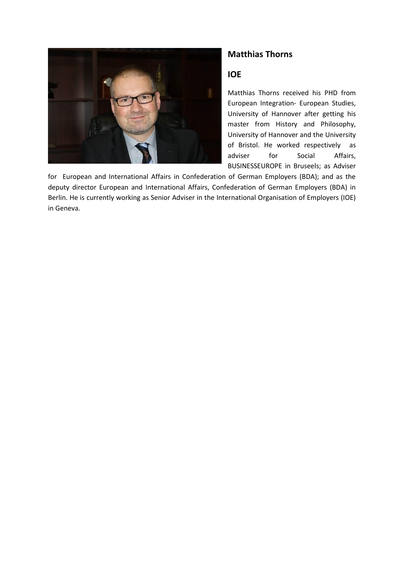

## **Matthias Thorns**

## **IOE**

Matthias Thorns received his PHD from European Integration- European Studies, University of Hannover after getting his master from History and Philosophy, University of Hannover and the University of Bristol. He worked respectively as adviser for Social Affairs, BUSINESSEUROPE in Bruseels; as Adviser

for European and International Affairs in Confederation of German Employers (BDA); and as the deputy director European and International Affairs, Confederation of German Employers (BDA) in Berlin. He is currently working as Senior Adviser in the International Organisation of Employers (IOE) in Geneva.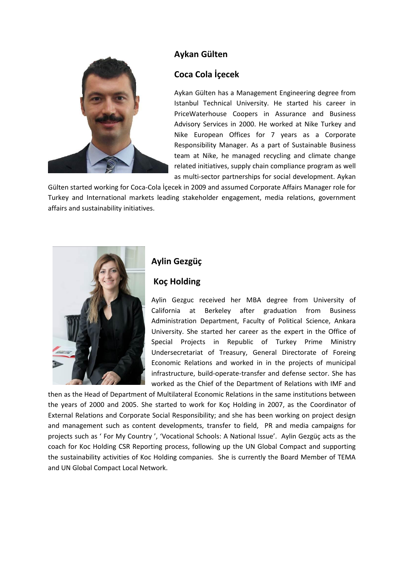

## **Aykan Gülten**

## **Coca Cola İçecek**

Aykan Gülten has a Management Engineering degree from Istanbul Technical University. He started his career in PriceWaterhouse Coopers in Assurance and Business Advisory Services in 2000. He worked at Nike Turkey and Nike European Offices for 7 years as a Corporate Responsibility Manager. As a part of Sustainable Business team at Nike, he managed recycling and climate change related initiatives, supply chain compliance program as well as multi-sector partnerships for social development. Aykan

Gülten started working for Coca-Cola İçecek in 2009 and assumed Corporate Affairs Manager role for Turkey and International markets leading stakeholder engagement, media relations, government affairs and sustainability initiatives.



# **Aylin Gezgüç**

#### **Koç Holding**

Aylin Gezguc received her MBA degree from University of California at Berkeley after graduation from Business Administration Department, Faculty of Political Science, Ankara University. She started her career as the expert in the Office of Special Projects in Republic of Turkey Prime Ministry Undersecretariat of Treasury, General Directorate of Foreing Economic Relations and worked in in the projects of municipal infrastructure, build-operate-transfer and defense sector. She has worked as the Chief of the Department of Relations with IMF and

then as the Head of Department of Multilateral Economic Relations in the same institutions between the years of 2000 and 2005. She started to work for Koç Holding in 2007, as the Coordinator of External Relations and Corporate Social Responsibility; and she has been working on project design and management such as content developments, transfer to field, PR and media campaigns for projects such as ' For My Country ', 'Vocational Schools: A National Issue'. Aylin Gezgüç acts as the coach for Koc Holding CSR Reporting process, following up the UN Global Compact and supporting the sustainability activities of Koc Holding companies. She is currently the Board Member of TEMA and UN Global Compact Local Network.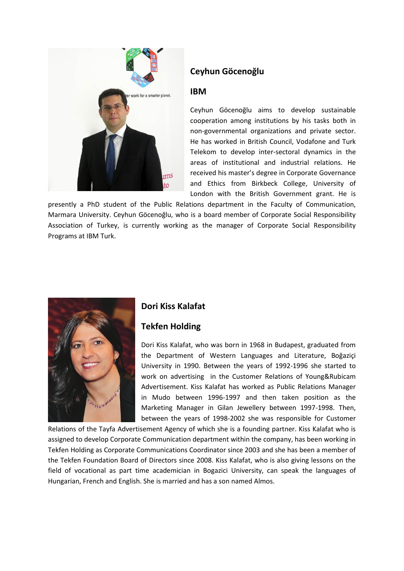

# **Ceyhun Göcenoğlu**

#### **IBM**

Ceyhun Göcenoğlu aims to develop sustainable cooperation among institutions by his tasks both in non-governmental organizations and private sector. He has worked in British Council, Vodafone and Turk Telekom to develop inter-sectoral dynamics in the areas of institutional and industrial relations. He received his master's degree in Corporate Governance and Ethics from Birkbeck College, University of London with the British Government grant. He is

presently a PhD student of the Public Relations department in the Faculty of Communication, Marmara University. Ceyhun Göcenoğlu, who is a board member of Corporate Social Responsibility Association of Turkey, is currently working as the manager of Corporate Social Responsibility Programs at IBM Turk.



### **Dori Kiss Kalafat**

### **Tekfen Holding**

Dori Kiss Kalafat, who was born in 1968 in Budapest, graduated from the Department of Western Languages and Literature, Boğaziçi University in 1990. Between the years of 1992-1996 she started to work on advertising in the Customer Relations of Young&Rubicam Advertisement. Kiss Kalafat has worked as Public Relations Manager in Mudo between 1996-1997 and then taken position as the Marketing Manager in Gilan Jewellery between 1997-1998. Then, between the years of 1998-2002 she was responsible for Customer

Relations of the Tayfa Advertisement Agency of which she is a founding partner. Kiss Kalafat who is assigned to develop Corporate Communication department within the company, has been working in Tekfen Holding as Corporate Communications Coordinator since 2003 and she has been a member of the Tekfen Foundation Board of Directors since 2008. Kiss Kalafat, who is also giving lessons on the field of vocational as part time academician in Bogazici University, can speak the languages of Hungarian, French and English. She is married and has a son named Almos.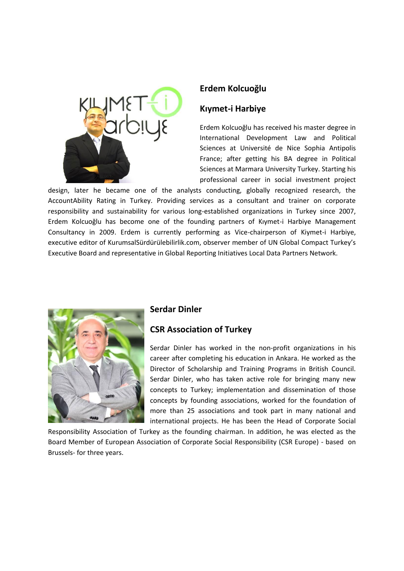

## **Erdem Kolcuoğlu**

## **Kıymet-i Harbiye**

Erdem Kolcuoğlu has received his master degree in International Development Law and Political Sciences at Université de Nice Sophia Antipolis France; after getting his BA degree in Political Sciences at Marmara University Turkey. Starting his professional career in social investment project

design, later he became one of the analysts conducting, globally recognized research, the AccountAbility Rating in Turkey. Providing services as a consultant and trainer on corporate responsibility and sustainability for various long-established organizations in Turkey since 2007, Erdem Kolcuoğlu has become one of the founding partners of Kıymet-i Harbiye Management Consultancy in 2009. Erdem is currently performing as Vice-chairperson of Kiymet-i Harbiye, executive editor of KurumsalSürdürülebilirlik.com, observer member of UN Global Compact Turkey's Executive Board and representative in Global Reporting Initiatives Local Data Partners Network.



### **Serdar Dinler**

### **CSR Association of Turkey**

Serdar Dinler has worked in the non-profit organizations in his career after completing his education in Ankara. He worked as the Director of Scholarship and Training Programs in British Council. Serdar Dinler, who has taken active role for bringing many new concepts to Turkey; implementation and dissemination of those concepts by founding associations, worked for the foundation of more than 25 associations and took part in many national and international projects. He has been the Head of Corporate Social

Responsibility Association of Turkey as the founding chairman. In addition, he was elected as the Board Member of European Association of Corporate Social Responsibility (CSR Europe) - based on Brussels- for three years.